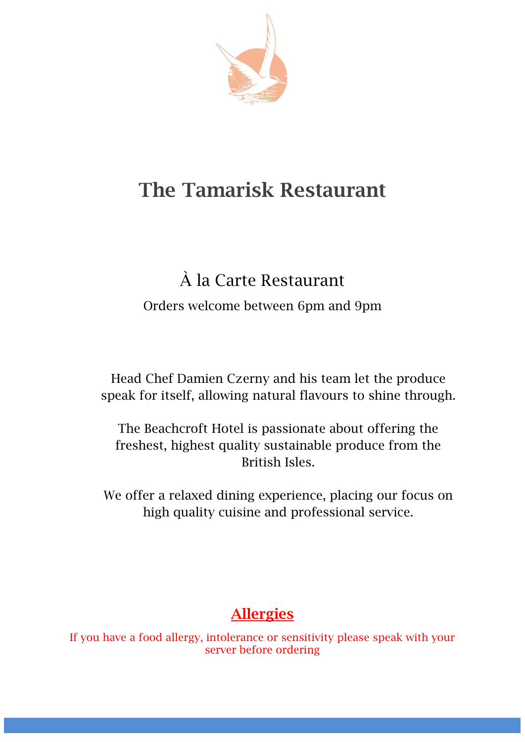

# **The Tamarisk Restaurant**

## À la Carte Restaurant

Orders welcome between 6pm and 9pm

Head Chef Damien Czerny and his team let the produce speak for itself, allowing natural flavours to shine through.

The Beachcroft Hotel is passionate about offering the freshest, highest quality sustainable produce from the British Isles.

We offer a relaxed dining experience, placing our focus on high quality cuisine and professional service.

#### **Allergies**

If you have a food allergy, intolerance or sensitivity please speak with your server before ordering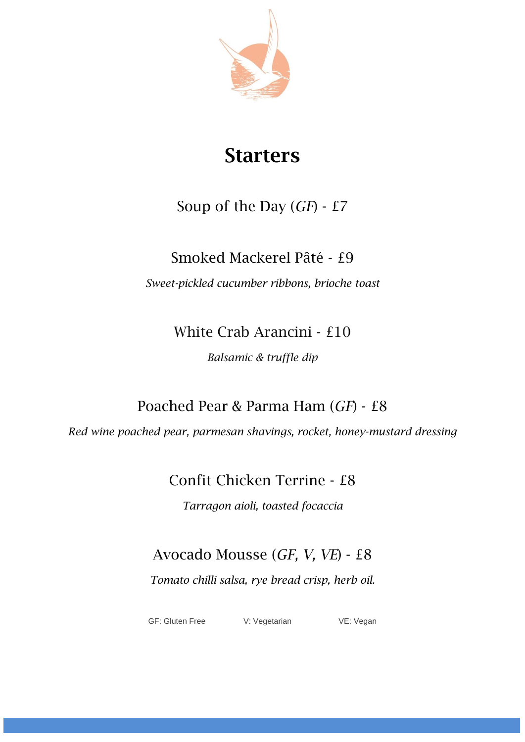

## **Starters**

#### Soup of the Day (*GF*) - £7

#### Smoked Mackerel Pâté - £9

*Sweet-pickled cucumber ribbons, brioche toast*

#### White Crab Arancini - £10

*Balsamic & truffle dip* 

### Poached Pear & Parma Ham (*GF*) - £8

*Red wine poached pear, parmesan shavings, rocket, honey-mustard dressing*

#### Confit Chicken Terrine - £8

*Tarragon aioli, toasted focaccia* 

### Avocado Mousse (*GF, V, VE*) - £8

*Tomato chilli salsa, rye bread crisp, herb oil.*

GF: Gluten Free V: Vegetarian VE: Vegan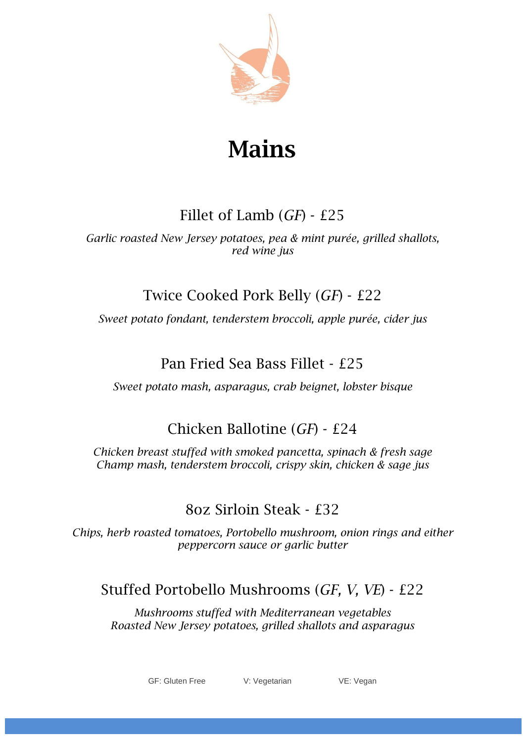

# **Mains**

#### Fillet of Lamb (*GF*) - £25

*Garlic roasted New Jersey potatoes, pea & mint purée, grilled shallots, red wine jus*

#### Twice Cooked Pork Belly (*GF*) - £22

*Sweet potato fondant, tenderstem broccoli, apple purée, cider jus*

#### Pan Fried Sea Bass Fillet - £25

*Sweet potato mash, asparagus, crab beignet, lobster bisque*

#### Chicken Ballotine (*GF*) - £24

*Chicken breast stuffed with smoked pancetta, spinach & fresh sage Champ mash, tenderstem broccoli, crispy skin, chicken & sage jus*

#### 8oz Sirloin Steak - £32

*Chips, herb roasted tomatoes, Portobello mushroom, onion rings and either peppercorn sauce or garlic butter*

#### Stuffed Portobello Mushrooms (*GF, V, VE*) - £22

*Mushrooms stuffed with Mediterranean vegetables Roasted New Jersey potatoes, grilled shallots and asparagus*